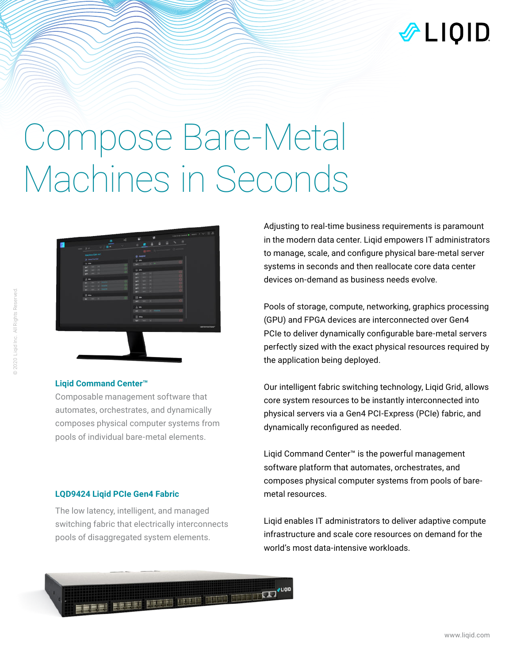

# Compose Bare-Metal Machines in Seconds



### **Liqid Command Center™**

Composable management software that automates, orchestrates, and dynamically composes physical computer systems from pools of individual bare-metal elements.

#### **LQD9424 Liqid PCIe Gen4 Fabric**

The low latency, intelligent, and managed switching fabric that electrically interconnects pools of disaggregated system elements.

**BEERS WARD WITH THE LEADER** 

Adjusting to real-time business requirements is paramount in the modern data center. Liqid empowers IT administrators to manage, scale, and configure physical bare-metal server systems in seconds and then reallocate core data center devices on-demand as business needs evolve.

Pools of storage, compute, networking, graphics processing (GPU) and FPGA devices are interconnected over Gen4 PCIe to deliver dynamically configurable bare-metal servers perfectly sized with the exact physical resources required by the application being deployed.

Our intelligent fabric switching technology, Liqid Grid, allows core system resources to be instantly interconnected into physical servers via a Gen4 PCI-Express (PCIe) fabric, and dynamically reconfigured as needed.

Liqid Command Center™ is the powerful management software platform that automates, orchestrates, and composes physical computer systems from pools of baremetal resources.

Liqid enables IT administrators to deliver adaptive compute infrastructure and scale core resources on demand for the world's most data-intensive workloads.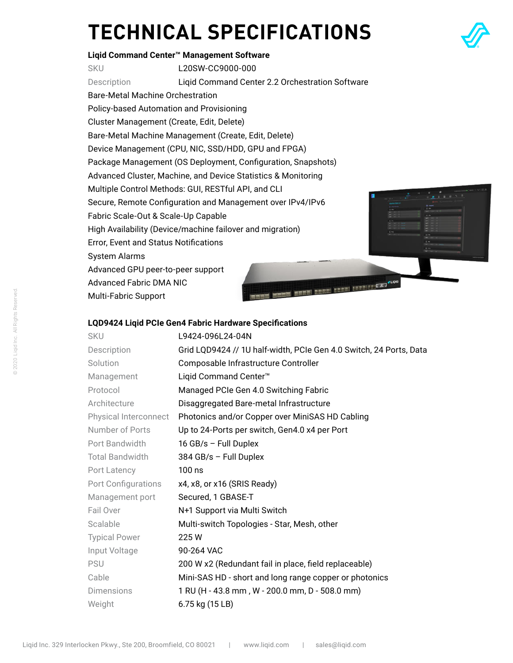# **TECHNICAL SPECIFICATIONS**



## **Liqid Command Center™ Management Software** SKU L20SW-CC9000-000 Description Liqid Command Center 2.2 Orchestration Software Bare-Metal Machine Orchestration Policy-based Automation and Provisioning Cluster Management (Create, Edit, Delete) Bare-Metal Machine Management (Create, Edit, Delete) Device Management (CPU, NIC, SSD/HDD, GPU and FPGA) Package Management (OS Deployment, Configuration, Snapshots) Advanced Cluster, Machine, and Device Statistics & Monitoring Multiple Control Methods: GUI, RESTful API, and CLI

Secure, Remote Configuration and Management over IPv4/IPv6

Fabric Scale-Out & Scale-Up Capable

High Availability (Device/machine failover and migration) Error, Event and Status Notifications

System Alarms

Advanced GPU peer-to-peer support Advanced Fabric DMA NIC Multi-Fabric Support

### **LQD9424 Liqid PCIe Gen4 Fabric Hardware Specifications**

| <b>SKU</b>             | L9424-096L24-04N                                                   |
|------------------------|--------------------------------------------------------------------|
| Description            | Grid LQD9424 // 1U half-width, PCIe Gen 4.0 Switch, 24 Ports, Data |
| Solution               | Composable Infrastructure Controller                               |
| Management             | Liqid Command Center <sup>™</sup>                                  |
| Protocol               | Managed PCIe Gen 4.0 Switching Fabric                              |
| Architecture           | Disaggregated Bare-metal Infrastructure                            |
| Physical Interconnect  | Photonics and/or Copper over MiniSAS HD Cabling                    |
| Number of Ports        | Up to 24-Ports per switch, Gen4.0 x4 per Port                      |
| Port Bandwidth         | 16 GB/s - Full Duplex                                              |
| <b>Total Bandwidth</b> | $384$ GB/s - Full Duplex                                           |
| Port Latency           | $100$ ns                                                           |
| Port Configurations    | x4, x8, or x16 (SRIS Ready)                                        |
| Management port        | Secured, 1 GBASE-T                                                 |
| Fail Over              | N+1 Support via Multi Switch                                       |
| Scalable               | Multi-switch Topologies - Star, Mesh, other                        |
| <b>Typical Power</b>   | 225W                                                               |
| Input Voltage          | 90-264 VAC                                                         |
| <b>PSU</b>             | 200 W x2 (Redundant fail in place, field replaceable)              |
| Cable                  | Mini-SAS HD - short and long range copper or photonics             |
| <b>Dimensions</b>      | 1 RU (H - 43.8 mm, W - 200.0 mm, D - 508.0 mm)                     |
| Weight                 | 6.75 kg (15 LB)                                                    |

ME HEEM EREEL EREEL EEEDLEKKE

 $2 - 101$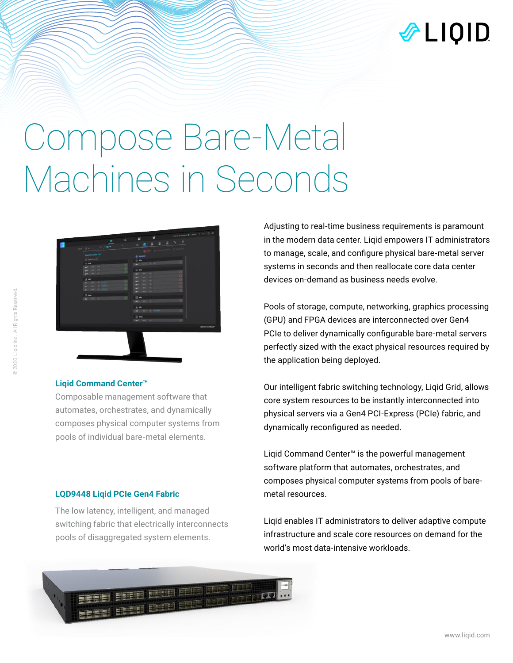

# Compose Bare-Metal Machines in Seconds



### **Liqid Command Center™**

Composable management software that automates, orchestrates, and dynamically composes physical computer systems from pools of individual bare-metal elements.

#### **LQD9448 Liqid PCIe Gen4 Fabric**

The low latency, intelligent, and managed switching fabric that electrically interconnects pools of disaggregated system elements.

Adjusting to real-time business requirements is paramount in the modern data center. Liqid empowers IT administrators to manage, scale, and configure physical bare-metal server systems in seconds and then reallocate core data center devices on-demand as business needs evolve.

Pools of storage, compute, networking, graphics processing (GPU) and FPGA devices are interconnected over Gen4 PCIe to deliver dynamically configurable bare-metal servers perfectly sized with the exact physical resources required by the application being deployed.

Our intelligent fabric switching technology, Liqid Grid, allows core system resources to be instantly interconnected into physical servers via a Gen4 PCI-Express (PCIe) fabric, and dynamically reconfigured as needed.

Liqid Command Center™ is the powerful management software platform that automates, orchestrates, and composes physical computer systems from pools of baremetal resources.

Liqid enables IT administrators to deliver adaptive compute infrastructure and scale core resources on demand for the world's most data-intensive workloads.